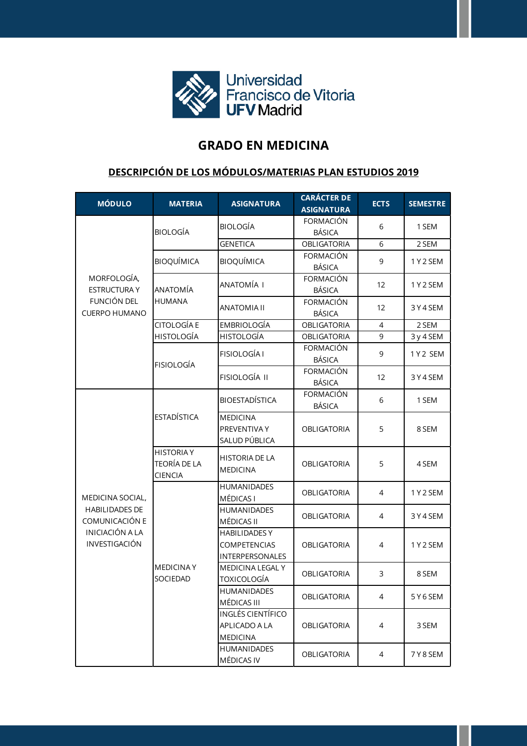

## **GRADO EN MEDICINA**

## **DESCRIPCIÓN DE LOS MÓDULOS/MATERIAS PLAN ESTUDIOS 2019**

| <b>MÓDULO</b>                                                                                          | <b>MATERIA</b>                                             | <b>ASIGNATURA</b>                                              | <b>CARÁCTER DE</b><br><b>ASIGNATURA</b> | <b>ECTS</b>    | <b>SEMESTRE</b> |
|--------------------------------------------------------------------------------------------------------|------------------------------------------------------------|----------------------------------------------------------------|-----------------------------------------|----------------|-----------------|
| MORFOLOGÍA,<br><b>ESTRUCTURA Y</b><br>FUNCIÓN DEL<br><b>CUERPO HUMANO</b>                              | <b>BIOLOGÍA</b>                                            | <b>BIOLOGÍA</b>                                                | FORMACIÓN<br><b>BÁSICA</b>              | 6              | 1 SEM           |
|                                                                                                        |                                                            | <b>GENETICA</b>                                                | <b>OBLIGATORIA</b>                      | 6              | 2 SEM           |
|                                                                                                        | <b>BIOQUÍMICA</b>                                          | <b>BIOQUÍMICA</b>                                              | FORMACIÓN<br><b>BÁSICA</b>              | 9              | 1Y2SEM          |
|                                                                                                        | ANATOMÍA<br><b>HUMANA</b>                                  | ANATOMÍA I                                                     | FORMACIÓN<br><b>BÁSICA</b>              | 12             | 1Y2 SEM         |
|                                                                                                        |                                                            | <b>ANATOMIA II</b>                                             | <b>FORMACIÓN</b><br><b>BÁSICA</b>       | 12             | 3Y4SEM          |
|                                                                                                        | <b>CITOLOGÍA E</b>                                         | <b>EMBRIOLOGÍA</b>                                             | <b>OBLIGATORIA</b>                      | 4              | 2 SEM           |
|                                                                                                        | <b>HISTOLOGÍA</b>                                          | <b>HISTOLOGÍA</b>                                              | <b>OBLIGATORIA</b>                      | 9              | 3 y 4 SEM       |
|                                                                                                        | <b>FISIOLOGÍA</b>                                          | <b>FISIOLOGÍA I</b>                                            | <b>FORMACIÓN</b><br>BÁSICA              | 9              | 1Y2 SEM         |
|                                                                                                        |                                                            | FISIOLOGÍA II                                                  | FORMACIÓN<br><b>BÁSICA</b>              | 12             | 3Y4SEM          |
| MEDICINA SOCIAL,<br><b>HABILIDADES DE</b><br>COMUNICACIÓN E<br><b>INICIACIÓN A LA</b><br>INVESTIGACIÓN | <b>ESTADÍSTICA</b>                                         | <b>BIOESTADÍSTICA</b>                                          | <b>FORMACIÓN</b><br><b>BÁSICA</b>       | 6              | 1 SEM           |
|                                                                                                        |                                                            | <b>MEDICINA</b><br>PREVENTIVA Y<br>SALUD PÚBLICA               | <b>OBLIGATORIA</b>                      | 5              | 8 SEM           |
|                                                                                                        | <b>HISTORIA Y</b><br><b>TEORÍA DE LA</b><br><b>CIENCIA</b> | <b>HISTORIA DE LA</b><br><b>MEDICINA</b>                       | <b>OBLIGATORIA</b>                      | 5              | 4 SEM           |
|                                                                                                        | <b>MEDICINAY</b><br>SOCIEDAD                               | <b>HUMANIDADES</b><br>MÉDICAS I                                | <b>OBLIGATORIA</b>                      | 4              | 1Y2 SEM         |
|                                                                                                        |                                                            | <b>HUMANIDADES</b><br>MÉDICAS II                               | <b>OBLIGATORIA</b>                      | $\overline{4}$ | 3Y4SEM          |
|                                                                                                        |                                                            | <b>HABILIDADES Y</b><br><b>COMPETENCIAS</b><br>INTERPERSONALES | <b>OBLIGATORIA</b>                      | $\overline{4}$ | 1Y2 SEM         |
|                                                                                                        |                                                            | MEDICINA LEGAL Y<br><b>TOXICOLOGÍA</b>                         | <b>OBLIGATORIA</b>                      | 3              | 8 SEM           |
|                                                                                                        |                                                            | <b>HUMANIDADES</b><br>MÉDICAS III                              | OBLIGATORIA                             | 4              | 5 Y 6 SEM       |
|                                                                                                        |                                                            | <b>INGLÉS CIENTÍFICO</b><br>APLICADO A LA<br><b>MEDICINA</b>   | OBLIGATORIA                             | 4              | 3 SEM           |
|                                                                                                        |                                                            | HUMANIDADES<br>MÉDICAS IV                                      | OBLIGATORIA                             | 4              | 7 Y 8 SEM       |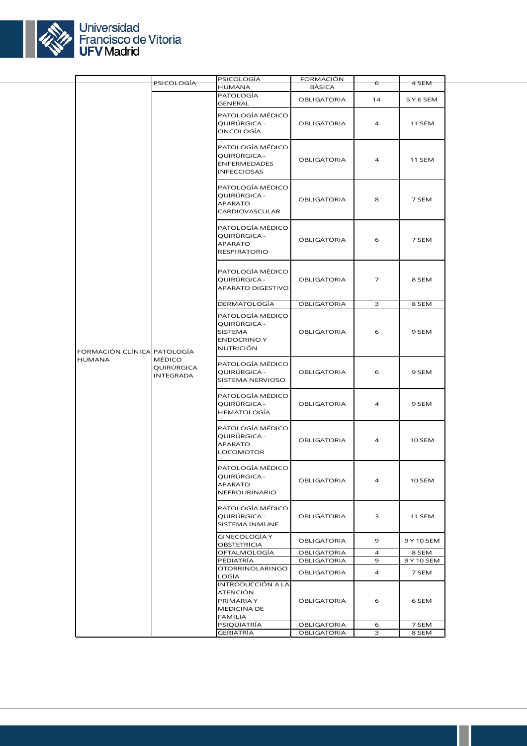

|                                              |                                   | PSICOLOGÍA                                                                     | <b>FORMACIÓN</b>   |                |            |
|----------------------------------------------|-----------------------------------|--------------------------------------------------------------------------------|--------------------|----------------|------------|
|                                              | PSICOLOGÍA                        | HUMANA                                                                         | BÁSICA             | 6              | 4 SEM      |
|                                              | MÉDICO<br>QUIRÚRGICA<br>INTEGRADA | PATOLOGÍA<br><b>GENERAL</b>                                                    | <b>OBLIGATORIA</b> | 14             | 5 Y 6 SEM  |
|                                              |                                   | PATOLOGÍA MÉDICO<br>QUIRÚRGICA -<br>ONCOLOGÍA                                  | <b>OBLIGATORIA</b> | 4              | 11 SEM     |
|                                              |                                   | PATOLOGÍA MÉDICO<br>QUIRÚRGICA -<br><b>ENFERMEDADES</b><br><b>INFECCIOSAS</b>  | <b>OBLIGATORIA</b> | $\overline{4}$ | 11 SEM     |
|                                              |                                   | PATOLOGÍA MÉDICO<br>QUIRÚRGICA -<br>APARATO<br>CARDIOVASCULAR                  | <b>OBLIGATORIA</b> | 8              | 7 SEM      |
|                                              |                                   | PATOLOGÍA MÉDICO<br>QUIRÚRGICA -<br><b>APARATO</b><br>RESPIRATORIO             | <b>OBLIGATORIA</b> | 6              | 7 SEM      |
|                                              |                                   | PATOLOGÍA MÉDICO<br>QUIRÚRGICA -<br>APARATO DIGESTIVO                          | <b>OBLIGATORIA</b> | $\overline{7}$ | 8 SEM      |
|                                              |                                   | DERMATOLOGÍA                                                                   | <b>OBLIGATORIA</b> | З              | 8 SEM      |
| FORMACIÓN CLÍNICA PATOLOGÍA<br><b>HUMANA</b> |                                   | PATOLOGÍA MÉDICO<br>QUIRÚRGICA -<br>SISTEMA<br><b>ENDOCRINO Y</b><br>NUTRICIÓN | <b>OBLIGATORIA</b> | 6              | 9 SEM      |
|                                              |                                   | PATOLOGÍA MÉDICO<br>QUIRÚRGICA -<br>SISTEMA NERVIOSO                           | <b>OBLIGATORIA</b> | 6              | 9 SEM      |
|                                              |                                   | PATOLOGÍA MÉDICO<br>QUIRÚRGICA -<br>HEMATOLOGÍA                                | <b>OBLIGATORIA</b> | $\overline{4}$ | 9 SEM      |
|                                              |                                   | PATOLOGÍA MÉDICO<br>QUIRÚRGICA -<br><b>APARATO</b><br>LOCOMOTOR                | <b>OBLIGATORIA</b> | 4              | 10 SEM     |
|                                              |                                   | PATOLOGÍA MÉDICO<br>QUIRÚRGICA -<br><b>APARATO</b><br>NEFROURINARIO            | OBLIGATORIA        | 4              | 10 SEM     |
|                                              |                                   | PATOLOGÍA MÉDICO<br>QUIRÚRGICA -<br>SISTEMA INMUNE                             | <b>OBLIGATORIA</b> | 3              | 11 SEM     |
|                                              |                                   | GINECOLOGÍA Y<br>OBSTETRICIA                                                   | <b>OBLIGATORIA</b> | 9              | 9 Y 10 SEM |
|                                              |                                   | OFTALMOLOGÍA                                                                   | OBLIGATORIA        | $\overline{4}$ | 8 SEM      |
|                                              |                                   | PEDIATRÍA<br><b>OTORRINOLARINGO</b>                                            | OBLIGATORIA        | 9              | 9 Y 10 SEM |
|                                              |                                   | LOGÍA                                                                          | <b>OBLIGATORIA</b> | 4              | 7 SEM      |
|                                              |                                   | INTRODUCCIÓN A LA<br>ATENCIÓN<br>PRIMARIA Y<br>MEDICINA DE<br><b>FAMILIA</b>   | <b>OBLIGATORIA</b> | 6              | 6 SEM      |
|                                              |                                   | PSIQUIATRÍA                                                                    | <b>OBLIGATORIA</b> | 6              | 7 SEM      |
|                                              |                                   | GERIATRÍA                                                                      | OBLIGATORIA        | З              | 8 SEM      |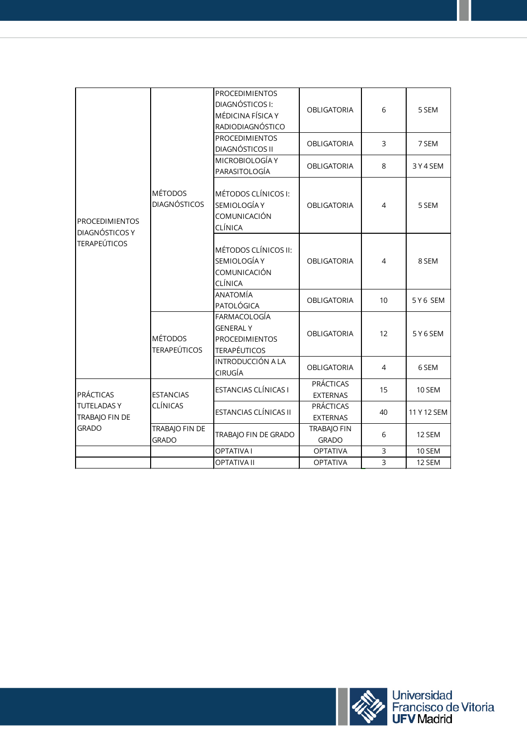| <b>PROCEDIMIENTOS</b><br>DIAGNÓSTICOS Y<br><b>TERAPEÚTICOS</b>          | <b>MÉTODOS</b><br><b>DIAGNÓSTICOS</b> | <b>PROCEDIMIENTOS</b><br>DIAGNÓSTICOS I:<br>MÉDICINA FÍSICA Y<br>RADIODIAGNÓSTICO | <b>OBLIGATORIA</b>                  | 6              | 5 SEM       |
|-------------------------------------------------------------------------|---------------------------------------|-----------------------------------------------------------------------------------|-------------------------------------|----------------|-------------|
|                                                                         |                                       | <b>PROCEDIMIENTOS</b><br>DIAGNÓSTICOS II                                          | <b>OBLIGATORIA</b>                  | 3              | 7 SEM       |
|                                                                         |                                       | MICROBIOLOGÍA Y<br>PARASITOLOGÍA                                                  | <b>OBLIGATORIA</b>                  | 8              | 3Y4SEM      |
|                                                                         |                                       | MÉTODOS CLÍNICOS I:<br>SEMIOLOGÍA Y<br>COMUNICACIÓN<br>CLÍNICA                    | <b>OBLIGATORIA</b>                  | $\overline{4}$ | 5 SEM       |
|                                                                         |                                       | MÉTODOS CLÍNICOS II:<br>SEMIOLOGÍA Y<br>COMUNICACIÓN<br>CLÍNICA                   | <b>OBLIGATORIA</b>                  | $\overline{4}$ | 8 SEM       |
|                                                                         |                                       | ANATOMÍA<br>PATOLÓGICA                                                            | <b>OBLIGATORIA</b>                  | 10             | 5Y6 SEM     |
|                                                                         | <b>MÉTODOS</b><br><b>TERAPEÚTICOS</b> | FARMACOLOGÍA<br><b>GENERAL Y</b><br><b>PROCEDIMIENTOS</b><br><b>TERAPÉUTICOS</b>  | <b>OBLIGATORIA</b>                  | 12             | 5Y6SEM      |
| <b>PRÁCTICAS</b><br><b>TUTELADASY</b><br>TRABAJO FIN DE<br><b>GRADO</b> | <b>ESTANCIAS</b><br><b>CLÍNICAS</b>   | INTRODUCCIÓN A LA<br>CIRUGÍA                                                      | <b>OBLIGATORIA</b>                  | 4              | 6 SEM       |
|                                                                         |                                       | ESTANCIAS CLÍNICAS I                                                              | <b>PRÁCTICAS</b><br><b>EXTERNAS</b> | 15             | 10 SEM      |
|                                                                         |                                       | ESTANCIAS CLÍNICAS II                                                             | <b>PRÁCTICAS</b><br>EXTERNAS        | 40             | 11 Y 12 SEM |
|                                                                         | TRABAJO FIN DE<br><b>GRADO</b>        | TRABAJO FIN DE GRADO                                                              | <b>TRABAIO FIN</b><br><b>GRADO</b>  | 6              | 12 SEM      |
|                                                                         |                                       | <b>OPTATIVAI</b>                                                                  | <b>OPTATIVA</b>                     | 3              | 10 SEM      |
|                                                                         |                                       | <b>OPTATIVA II</b>                                                                | <b>OPTATIVA</b>                     | $\overline{3}$ | 12 SEM      |